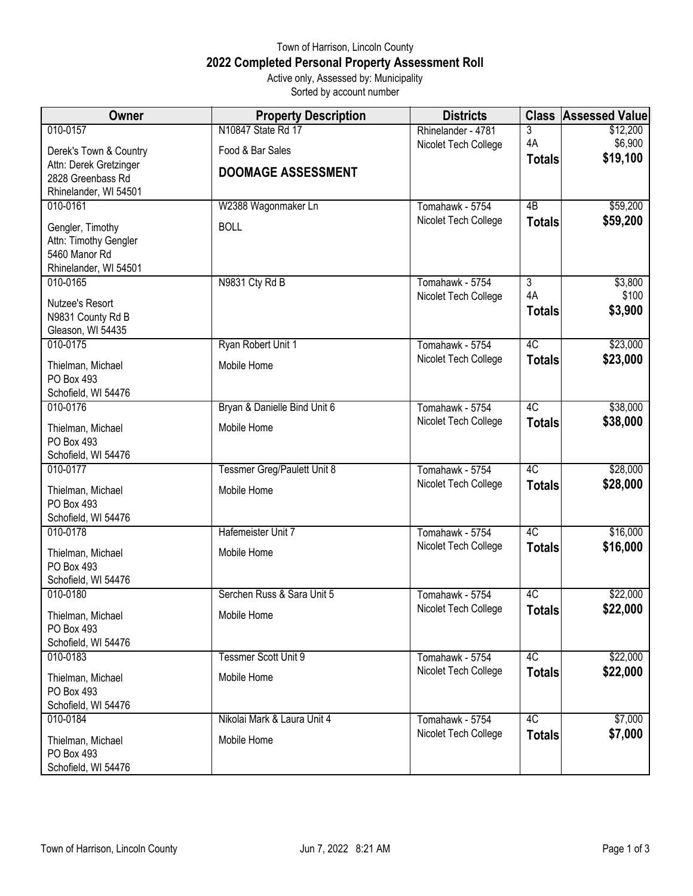## Town of Harrison, Lincoln County **2022 Completed Personal Property Assessment Roll** Active only, Assessed by: Municipality

Sorted by account number

| Owner                  | <b>Property Description</b>  | <b>Districts</b>     | <b>Class</b>    | <b>Assessed Value</b> |
|------------------------|------------------------------|----------------------|-----------------|-----------------------|
| 010-0157               | N10847 State Rd 17           | Rhinelander - 4781   | 3               | \$12,200              |
| Derek's Town & Country | Food & Bar Sales             | Nicolet Tech College | 4A              | \$6,900               |
| Attn: Derek Gretzinger |                              |                      | <b>Totals</b>   | \$19,100              |
| 2828 Greenbass Rd      | <b>DOOMAGE ASSESSMENT</b>    |                      |                 |                       |
| Rhinelander, WI 54501  |                              |                      |                 |                       |
| 010-0161               | W2388 Wagonmaker Ln          | Tomahawk - 5754      | $\overline{AB}$ | \$59,200              |
| Gengler, Timothy       | <b>BOLL</b>                  | Nicolet Tech College | <b>Totals</b>   | \$59,200              |
| Attn: Timothy Gengler  |                              |                      |                 |                       |
| 5460 Manor Rd          |                              |                      |                 |                       |
| Rhinelander, WI 54501  |                              |                      |                 |                       |
| 010-0165               | N9831 Cty Rd B               | Tomahawk - 5754      | $\overline{3}$  | \$3,800               |
| Nutzee's Resort        |                              | Nicolet Tech College | 4A              | \$100<br>\$3,900      |
| N9831 County Rd B      |                              |                      | <b>Totals</b>   |                       |
| Gleason, WI 54435      |                              |                      |                 |                       |
| 010-0175               | Ryan Robert Unit 1           | Tomahawk - 5754      | 4C              | \$23,000              |
| Thielman, Michael      | Mobile Home                  | Nicolet Tech College | <b>Totals</b>   | \$23,000              |
| PO Box 493             |                              |                      |                 |                       |
| Schofield, WI 54476    |                              |                      |                 |                       |
| 010-0176               | Bryan & Danielle Bind Unit 6 | Tomahawk - 5754      | 4C              | \$38,000              |
| Thielman, Michael      | Mobile Home                  | Nicolet Tech College | <b>Totals</b>   | \$38,000              |
| PO Box 493             |                              |                      |                 |                       |
| Schofield, WI 54476    |                              |                      |                 |                       |
| 010-0177               | Tessmer Greg/Paulett Unit 8  | Tomahawk - 5754      | 4C              | \$28,000              |
| Thielman, Michael      | Mobile Home                  | Nicolet Tech College | <b>Totals</b>   | \$28,000              |
| PO Box 493             |                              |                      |                 |                       |
| Schofield, WI 54476    |                              |                      |                 |                       |
| 010-0178               | Hafemeister Unit 7           | Tomahawk - 5754      | 4C              | \$16,000              |
| Thielman, Michael      | Mobile Home                  | Nicolet Tech College | <b>Totals</b>   | \$16,000              |
| PO Box 493             |                              |                      |                 |                       |
| Schofield, WI 54476    |                              |                      |                 |                       |
| 010-0180               | Serchen Russ & Sara Unit 5   | Tomahawk - 5754      | 4C              | \$22,000              |
| Thielman, Michael      | Mobile Home                  | Nicolet Tech College | <b>Totals</b>   | \$22,000              |
| PO Box 493             |                              |                      |                 |                       |
| Schofield, WI 54476    |                              |                      |                 |                       |
| 010-0183               | <b>Tessmer Scott Unit 9</b>  | Tomahawk - 5754      | 4C              | \$22,000              |
| Thielman, Michael      | Mobile Home                  | Nicolet Tech College | <b>Totals</b>   | \$22,000              |
| PO Box 493             |                              |                      |                 |                       |
| Schofield, WI 54476    |                              |                      |                 |                       |
| 010-0184               | Nikolai Mark & Laura Unit 4  | Tomahawk - 5754      | 4C              | \$7,000               |
| Thielman, Michael      | Mobile Home                  | Nicolet Tech College | <b>Totals</b>   | \$7,000               |
| PO Box 493             |                              |                      |                 |                       |
| Schofield, WI 54476    |                              |                      |                 |                       |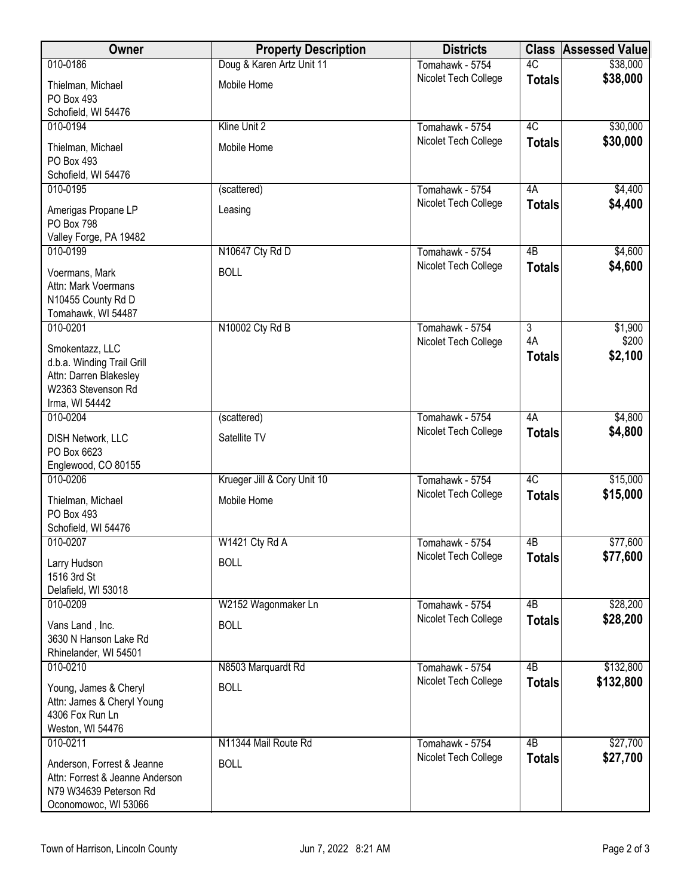| Owner                                                                                                           | <b>Property Description</b> | <b>Districts</b>     | <b>Class</b>        | <b>Assessed Value</b> |
|-----------------------------------------------------------------------------------------------------------------|-----------------------------|----------------------|---------------------|-----------------------|
| 010-0186                                                                                                        | Doug & Karen Artz Unit 11   | Tomahawk - 5754      | 4C                  | \$38,000              |
| Thielman, Michael<br>PO Box 493                                                                                 | Mobile Home                 | Nicolet Tech College | <b>Totals</b>       | \$38,000              |
| Schofield, WI 54476                                                                                             |                             |                      |                     |                       |
| 010-0194                                                                                                        | Kline Unit 2                | Tomahawk - 5754      | 4C                  | \$30,000              |
| Thielman, Michael<br>PO Box 493<br>Schofield, WI 54476                                                          | Mobile Home                 | Nicolet Tech College | <b>Totals</b>       | \$30,000              |
| 010-0195                                                                                                        | (scattered)                 | Tomahawk - 5754      | 4A                  | \$4,400               |
| Amerigas Propane LP<br>PO Box 798<br>Valley Forge, PA 19482                                                     | Leasing                     | Nicolet Tech College | <b>Totals</b>       | \$4,400               |
| 010-0199                                                                                                        | N10647 Cty Rd D             | Tomahawk - 5754      | $\overline{AB}$     | \$4,600               |
| Voermans, Mark<br>Attn: Mark Voermans<br>N10455 County Rd D<br>Tomahawk, WI 54487                               | <b>BOLL</b>                 | Nicolet Tech College | <b>Totals</b>       | \$4,600               |
| 010-0201                                                                                                        | N10002 Cty Rd B             | Tomahawk - 5754      | $\overline{3}$      | \$1,900               |
| Smokentazz, LLC<br>d.b.a. Winding Trail Grill<br>Attn: Darren Blakesley<br>W2363 Stevenson Rd<br>Irma, WI 54442 |                             | Nicolet Tech College | 4A<br><b>Totals</b> | \$200<br>\$2,100      |
| 010-0204                                                                                                        | (scattered)                 | Tomahawk - 5754      | 4A                  | \$4,800               |
| <b>DISH Network, LLC</b><br>PO Box 6623<br>Englewood, CO 80155                                                  | Satellite TV                | Nicolet Tech College | <b>Totals</b>       | \$4,800               |
| 010-0206                                                                                                        | Krueger Jill & Cory Unit 10 | Tomahawk - 5754      | 4C                  | \$15,000              |
| Thielman, Michael<br>PO Box 493<br>Schofield, WI 54476                                                          | Mobile Home                 | Nicolet Tech College | <b>Totals</b>       | \$15,000              |
| 010-0207                                                                                                        | W1421 Cty Rd A              | Tomahawk - 5754      | 4B                  | \$77,600              |
| Larry Hudson<br>1516 3rd St<br>Delafield, WI 53018                                                              | <b>BOLL</b>                 | Nicolet Tech College | <b>Totals</b>       | \$77,600              |
| 010-0209                                                                                                        | W2152 Wagonmaker Ln         | Tomahawk - 5754      | 4B                  | \$28,200              |
| Vans Land, Inc.<br>3630 N Hanson Lake Rd<br>Rhinelander, WI 54501                                               | <b>BOLL</b>                 | Nicolet Tech College | <b>Totals</b>       | \$28,200              |
| 010-0210                                                                                                        | N8503 Marquardt Rd          | Tomahawk - 5754      | $\overline{AB}$     | \$132,800             |
| Young, James & Cheryl<br>Attn: James & Cheryl Young<br>4306 Fox Run Ln<br>Weston, WI 54476                      | <b>BOLL</b>                 | Nicolet Tech College | <b>Totals</b>       | \$132,800             |
| 010-0211                                                                                                        | N11344 Mail Route Rd        | Tomahawk - 5754      | 4B                  | \$27,700              |
| Anderson, Forrest & Jeanne<br>Attn: Forrest & Jeanne Anderson<br>N79 W34639 Peterson Rd<br>Oconomowoc, WI 53066 | <b>BOLL</b>                 | Nicolet Tech College | <b>Totals</b>       | \$27,700              |